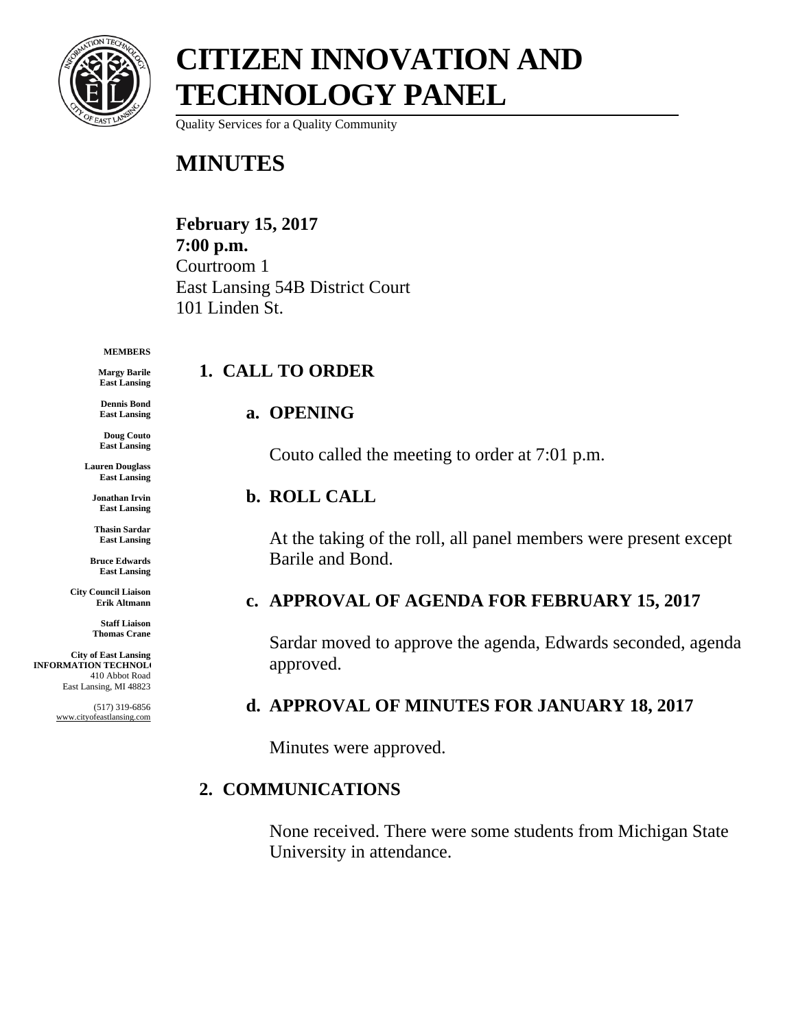

Quality Services for a Quality Community

### **MINUTES**

**February 15, 2017 7:00 p.m.** Courtroom 1 East Lansing 54B District Court 101 Linden St.

#### **MEMBERS**

**Margy Barile East Lansing**

**East Lansing**

**a. OPENING**

**1. CALL TO ORDER**

Couto called the meeting to order at 7:01 p.m.

#### **b. ROLL CALL**

At the taking of the roll, all panel members were present except Barile and Bond.

#### **c. APPROVAL OF AGENDA FOR FEBRUARY 15, 2017**

Sardar moved to approve the agenda, Edwards seconded, agenda approved.

#### **d. APPROVAL OF MINUTES FOR JANUARY 18, 2017**

Minutes were approved.

#### **2. COMMUNICATIONS**

None received. There were some students from Michigan State University in attendance.

**Dennis Bond**

**Doug Couto East Lansing**

**Lauren Douglass East Lansing**

**Jonathan Irvin East Lansing**

**Thasin Sardar East Lansing**

**Bruce Edwards East Lansing**

**City Council Liaison Erik Altmann**

> **Staff Liaison Thomas Crane**

**City of East Lansing INFORMATION TECHNOLO** 410 Abbot Road East Lansing, MI 48823

> (517) 319-6856 www.cityofeastlansing.com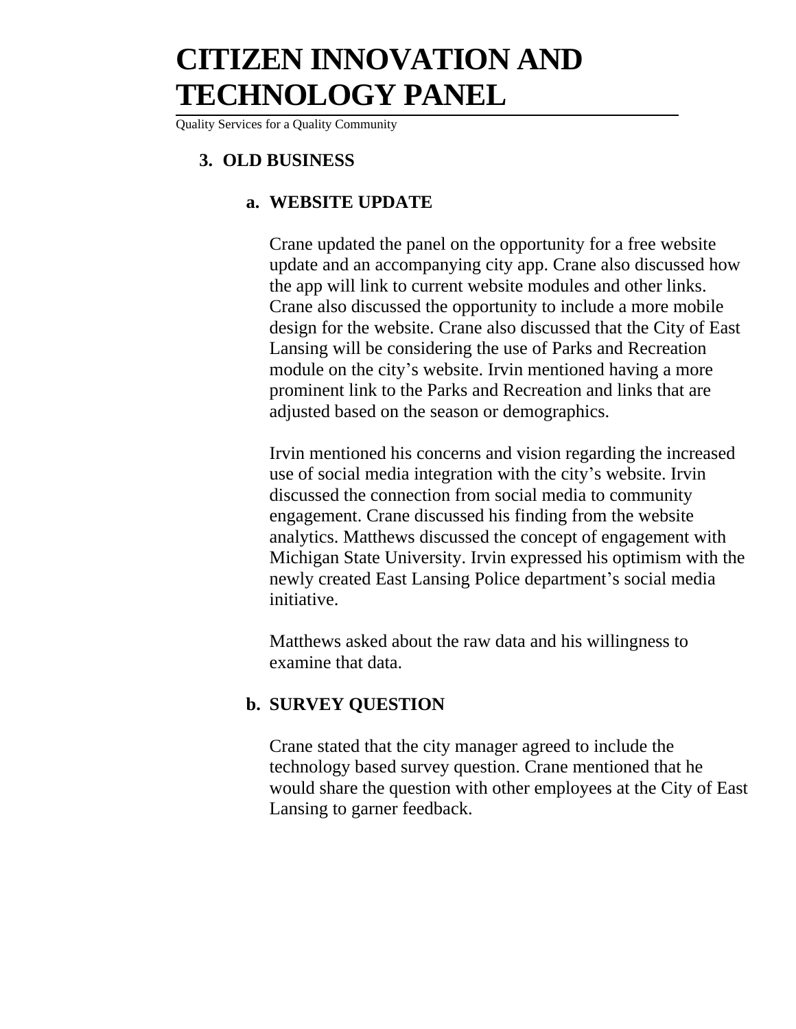Quality Services for a Quality Community

#### **3. OLD BUSINESS**

#### **a. WEBSITE UPDATE**

Crane updated the panel on the opportunity for a free website update and an accompanying city app. Crane also discussed how the app will link to current website modules and other links. Crane also discussed the opportunity to include a more mobile design for the website. Crane also discussed that the City of East Lansing will be considering the use of Parks and Recreation module on the city's website. Irvin mentioned having a more prominent link to the Parks and Recreation and links that are adjusted based on the season or demographics.

Irvin mentioned his concerns and vision regarding the increased use of social media integration with the city's website. Irvin discussed the connection from social media to community engagement. Crane discussed his finding from the website analytics. Matthews discussed the concept of engagement with Michigan State University. Irvin expressed his optimism with the newly created East Lansing Police department's social media initiative.

Matthews asked about the raw data and his willingness to examine that data.

#### **b. SURVEY QUESTION**

Crane stated that the city manager agreed to include the technology based survey question. Crane mentioned that he would share the question with other employees at the City of East Lansing to garner feedback.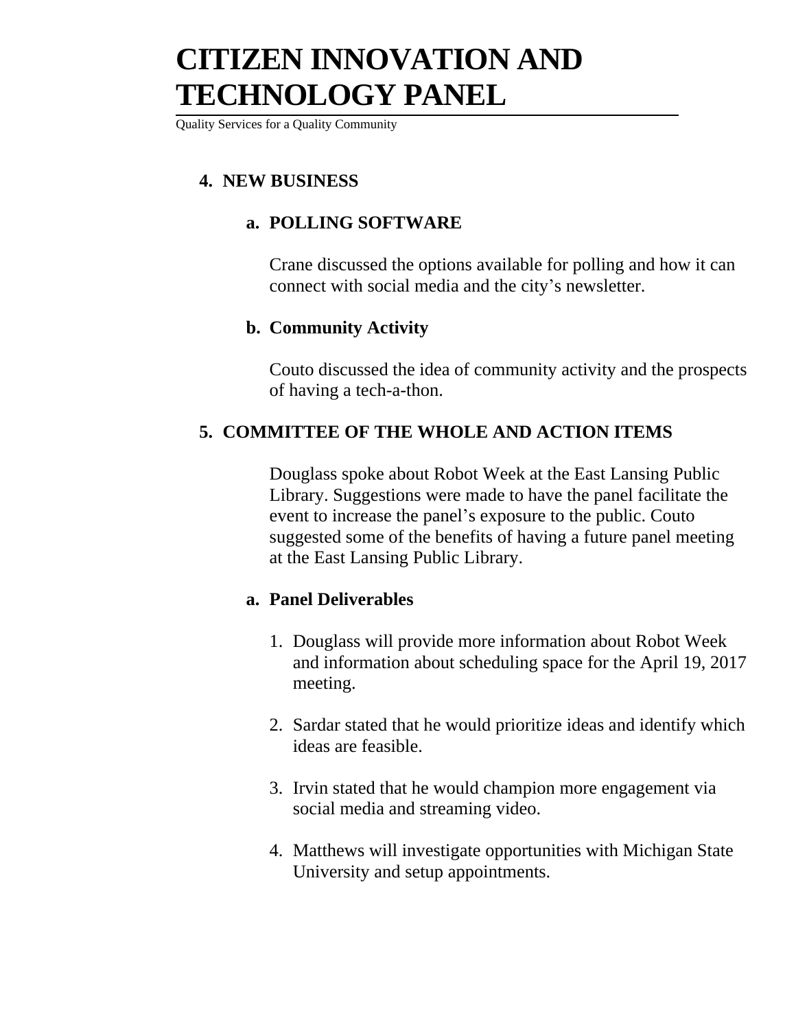Quality Services for a Quality Community

### **4. NEW BUSINESS**

#### **a. POLLING SOFTWARE**

Crane discussed the options available for polling and how it can connect with social media and the city's newsletter.

#### **b. Community Activity**

Couto discussed the idea of community activity and the prospects of having a tech-a-thon.

#### **5. COMMITTEE OF THE WHOLE AND ACTION ITEMS**

Douglass spoke about Robot Week at the East Lansing Public Library. Suggestions were made to have the panel facilitate the event to increase the panel's exposure to the public. Couto suggested some of the benefits of having a future panel meeting at the East Lansing Public Library.

#### **a. Panel Deliverables**

- 1. Douglass will provide more information about Robot Week and information about scheduling space for the April 19, 2017 meeting.
- 2. Sardar stated that he would prioritize ideas and identify which ideas are feasible.
- 3. Irvin stated that he would champion more engagement via social media and streaming video.
- 4. Matthews will investigate opportunities with Michigan State University and setup appointments.